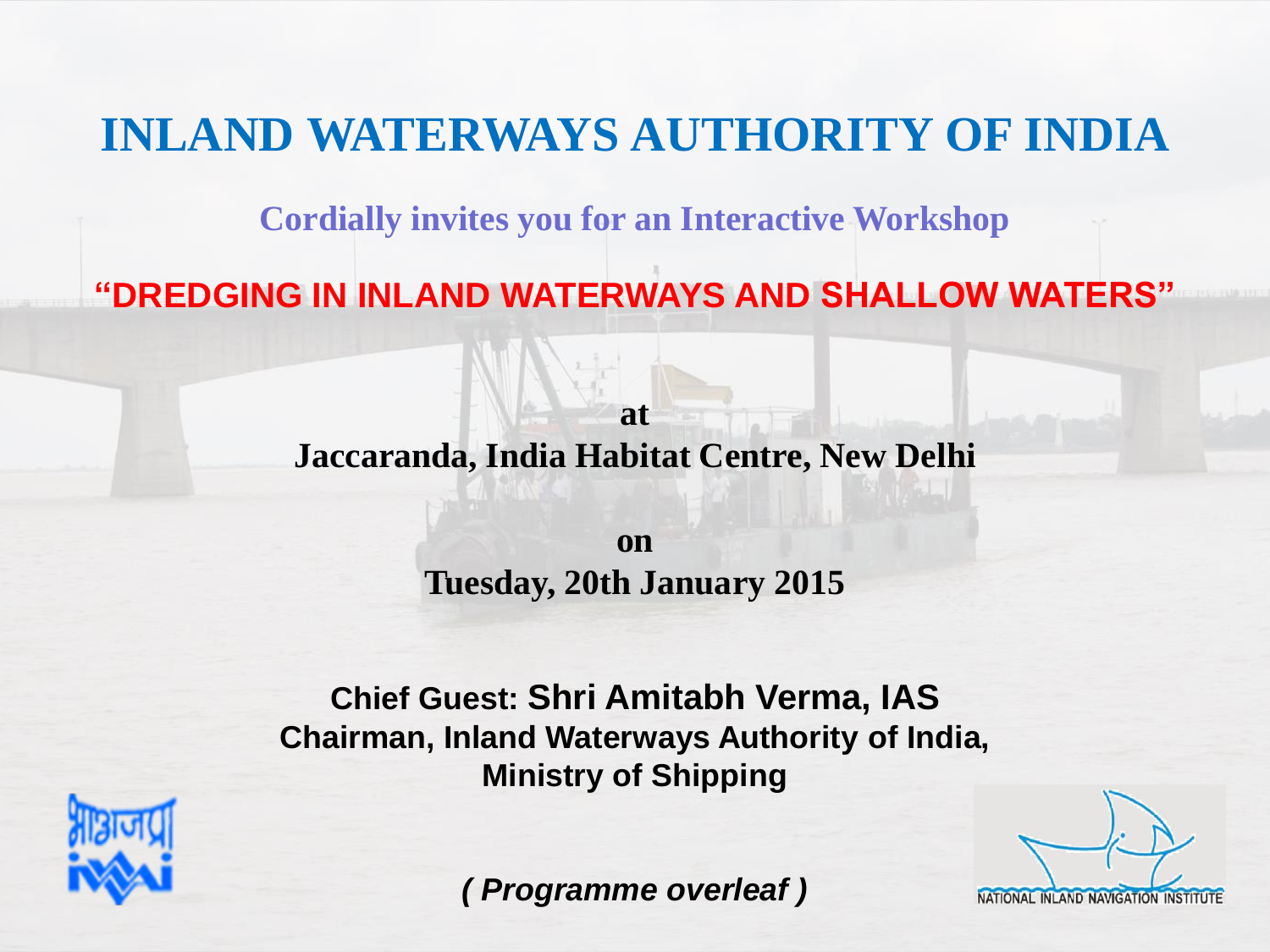## **INLAND WATERWAYS AUTHORITY OF INDIA**

**Cordially invites you for an Interactive Workshop** 

**"DREDGING IN INLAND WATERWAYS AND SHALLOW WATERS"**

**Jaccaranda, India Habitat Centre, New Delhi**

**at**

**on Tuesday, 20th January 2015**

**Chief Guest: Shri Amitabh Verma, IAS Chairman, Inland Waterways Authority of India, Ministry of Shipping**



NATIONAL INLAND NAVIGATION INSTITUTE

*( Programme overleaf )*